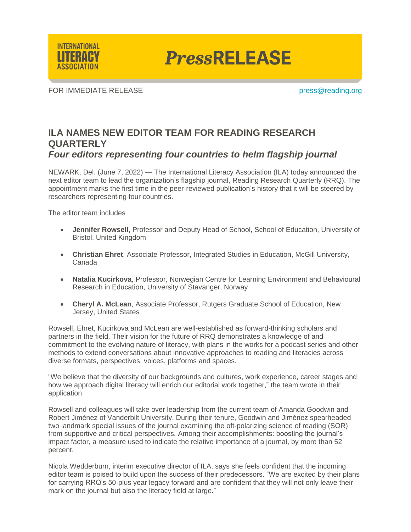

**PressRELEASE** 

FOR IMMEDIATE RELEASE **provided** and the press of the press of the press of the press of the press of the press of the press of the press of the press of the press of the press of the press of the press of the press of the

## **ILA NAMES NEW EDITOR TEAM FOR READING RESEARCH QUARTERLY** *Four editors representing four countries to helm flagship journal*

NEWARK, Del. (June 7, 2022) — The International Literacy Association (ILA) today announced the next editor team to lead the organization's flagship journal, Reading Research Quarterly (RRQ). The appointment marks the first time in the peer-reviewed publication's history that it will be steered by researchers representing four countries.

The editor team includes

- **Jennifer Rowsell**, Professor and Deputy Head of School, School of Education, University of Bristol, United Kingdom
- **Christian Ehret**, Associate Professor, Integrated Studies in Education, McGill University, Canada
- **Natalia Kucirkova**, Professor, Norwegian Centre for Learning Environment and Behavioural Research in Education, University of Stavanger, Norway
- **Cheryl A. McLean**, Associate Professor, Rutgers Graduate School of Education, New Jersey, United States

Rowsell, Ehret, Kucirkova and McLean are well-established as forward-thinking scholars and partners in the field. Their vision for the future of RRQ demonstrates a knowledge of and commitment to the evolving nature of literacy, with plans in the works for a podcast series and other methods to extend conversations about innovative approaches to reading and literacies across diverse formats, perspectives, voices, platforms and spaces.

"We believe that the diversity of our backgrounds and cultures, work experience, career stages and how we approach digital literacy will enrich our editorial work together," the team wrote in their application.

Rowsell and colleagues will take over leadership from the current team of Amanda Goodwin and Robert Jiménez of Vanderbilt University. During their tenure, Goodwin and Jiménez spearheaded two landmark special issues of the journal examining the oft-polarizing science of reading (SOR) from supportive and critical perspectives. Among their accomplishments: boosting the journal's impact factor, a measure used to indicate the relative importance of a journal, by more than 52 percent.

Nicola Wedderburn, interim executive director of ILA, says she feels confident that the incoming editor team is poised to build upon the success of their predecessors. "We are excited by their plans for carrying RRQ's 50-plus year legacy forward and are confident that they will not only leave their mark on the journal but also the literacy field at large."